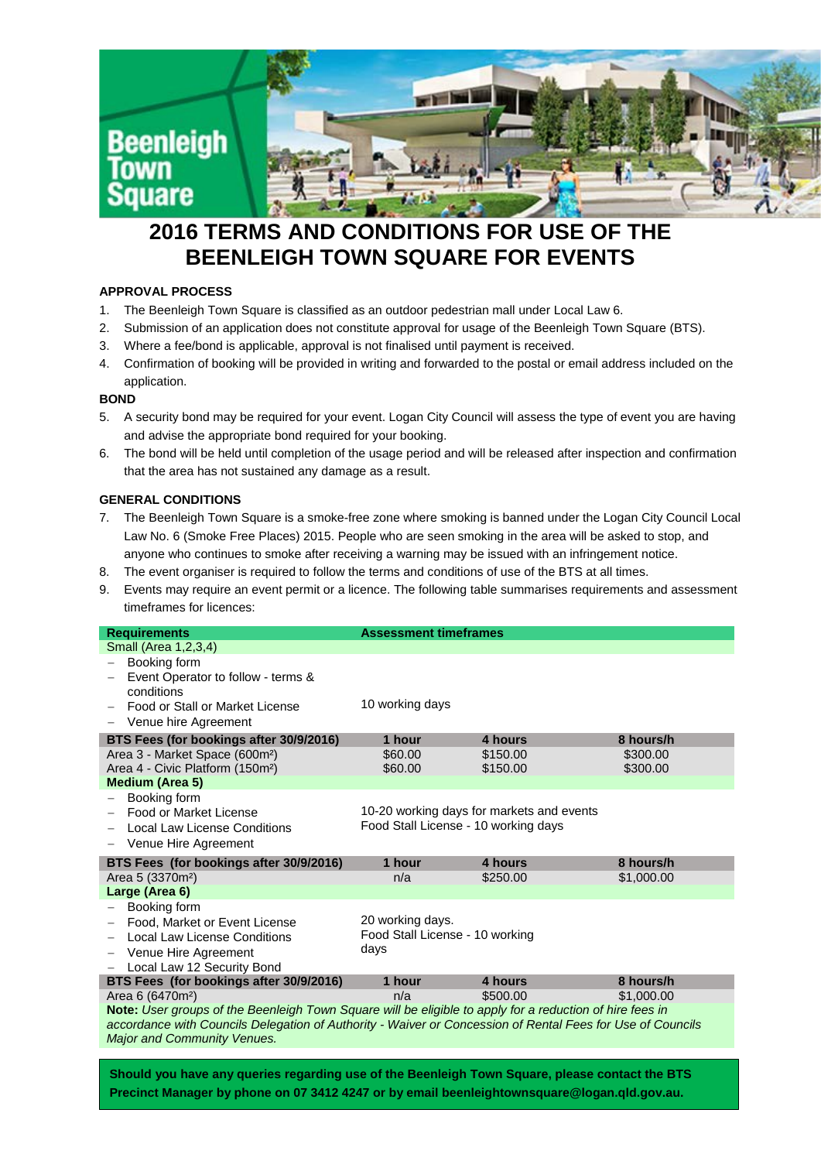

# **2016 TERMS AND CONDITIONS FOR USE OF THE BEENLEIGH TOWN SQUARE FOR EVENTS**

# **APPROVAL PROCESS**

- 1. The Beenleigh Town Square is classified as an outdoor pedestrian mall under Local Law 6.
- 2. Submission of an application does not constitute approval for usage of the Beenleigh Town Square (BTS).
- 3. Where a fee/bond is applicable, approval is not finalised until payment is received.
- 4. Confirmation of booking will be provided in writing and forwarded to the postal or email address included on the application.

# **BOND**

- 5. A security bond may be required for your event. Logan City Council will assess the type of event you are having and advise the appropriate bond required for your booking.
- 6. The bond will be held until completion of the usage period and will be released after inspection and confirmation that the area has not sustained any damage as a result.

# **GENERAL CONDITIONS**

- 7. The Beenleigh Town Square is a smoke-free zone where smoking is banned under the Logan City Council Local Law No. 6 (Smoke Free Places) 2015. People who are seen smoking in the area will be asked to stop, and anyone who continues to smoke after receiving a warning may be issued with an infringement notice.
- 8. The event organiser is required to follow the terms and conditions of use of the BTS at all times.
- 9. Events may require an event permit or a licence. The following table summarises requirements and assessment timeframes for licences:

| <b>Requirements</b>                                                                                                                                                                                                    | <b>Assessment timeframes</b>                                                      |          |            |
|------------------------------------------------------------------------------------------------------------------------------------------------------------------------------------------------------------------------|-----------------------------------------------------------------------------------|----------|------------|
| Small (Area 1, 2, 3, 4)                                                                                                                                                                                                |                                                                                   |          |            |
| Booking form                                                                                                                                                                                                           |                                                                                   |          |            |
| Event Operator to follow - terms &                                                                                                                                                                                     |                                                                                   |          |            |
| conditions                                                                                                                                                                                                             |                                                                                   |          |            |
| Food or Stall or Market License                                                                                                                                                                                        | 10 working days                                                                   |          |            |
| Venue hire Agreement                                                                                                                                                                                                   |                                                                                   |          |            |
| BTS Fees (for bookings after 30/9/2016)                                                                                                                                                                                | 1 hour                                                                            | 4 hours  | 8 hours/h  |
| Area 3 - Market Space (600m <sup>2</sup> )                                                                                                                                                                             | \$60.00                                                                           | \$150.00 | \$300.00   |
| Area 4 - Civic Platform (150m <sup>2</sup> )                                                                                                                                                                           | \$60.00                                                                           | \$150.00 | \$300.00   |
| <b>Medium (Area 5)</b>                                                                                                                                                                                                 |                                                                                   |          |            |
| Booking form                                                                                                                                                                                                           |                                                                                   |          |            |
| Food or Market License                                                                                                                                                                                                 | 10-20 working days for markets and events<br>Food Stall License - 10 working days |          |            |
| Local Law License Conditions                                                                                                                                                                                           |                                                                                   |          |            |
| Venue Hire Agreement                                                                                                                                                                                                   |                                                                                   |          |            |
| BTS Fees (for bookings after 30/9/2016)                                                                                                                                                                                | 1 hour                                                                            | 4 hours  | 8 hours/h  |
| Area 5 (3370m <sup>2</sup> )                                                                                                                                                                                           | n/a                                                                               | \$250.00 | \$1,000.00 |
| Large (Area 6)                                                                                                                                                                                                         |                                                                                   |          |            |
| Booking form                                                                                                                                                                                                           |                                                                                   |          |            |
| Food, Market or Event License                                                                                                                                                                                          | 20 working days.                                                                  |          |            |
| <b>Local Law License Conditions</b>                                                                                                                                                                                    | Food Stall License - 10 working                                                   |          |            |
| Venue Hire Agreement                                                                                                                                                                                                   | days                                                                              |          |            |
| Local Law 12 Security Bond                                                                                                                                                                                             |                                                                                   |          |            |
| BTS Fees (for bookings after 30/9/2016)                                                                                                                                                                                | 1 hour                                                                            | 4 hours  | 8 hours/h  |
| Area 6 (6470m <sup>2</sup> )                                                                                                                                                                                           | n/a                                                                               | \$500.00 | \$1,000.00 |
| Note: User groups of the Beenleigh Town Square will be eligible to apply for a reduction of hire fees in<br>accordance with Councils Delegation of Authority - Waiver or Concession of Rental Fees for Use of Councils |                                                                                   |          |            |
| <b>Major and Community Venues.</b>                                                                                                                                                                                     |                                                                                   |          |            |
|                                                                                                                                                                                                                        |                                                                                   |          |            |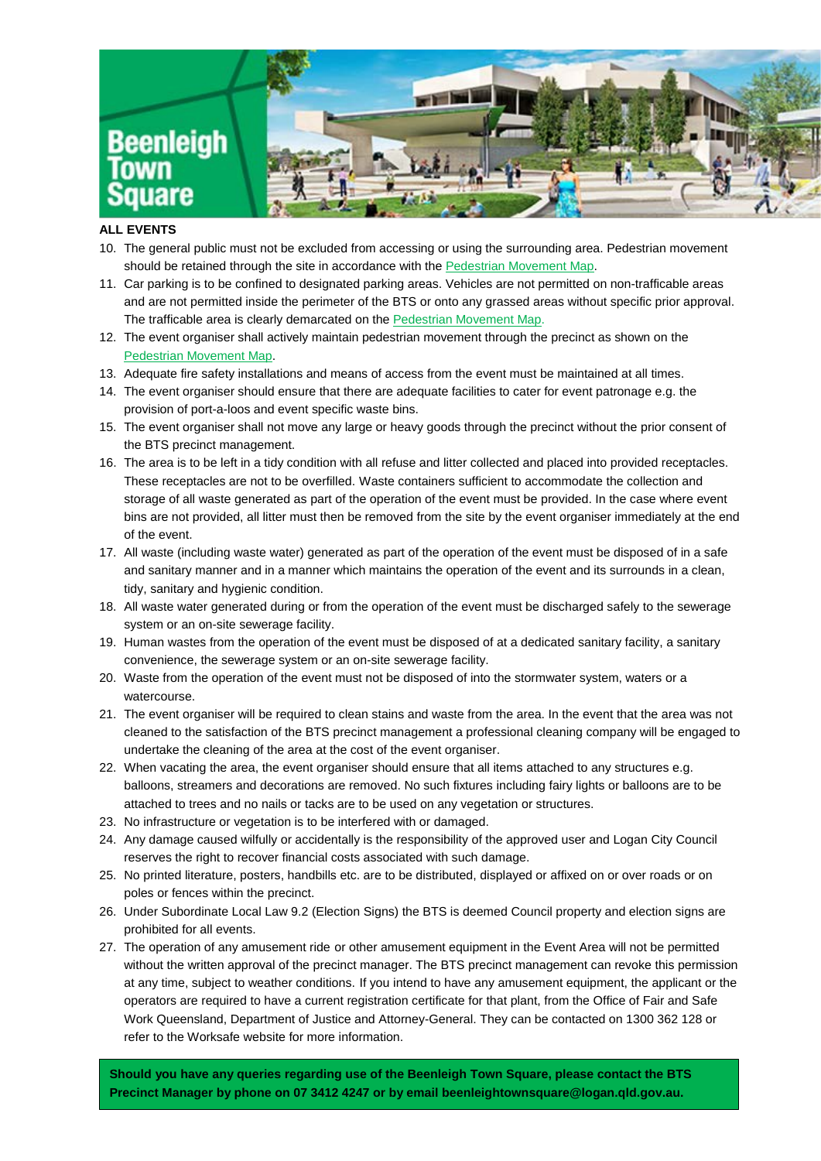

## **ALL EVENTS**

- 10. The general public must not be excluded from accessing or using the surrounding area. Pedestrian movement should be retained through the site in accordance with the Pedestrian Movement Map.
- 11. Car parking is to be confined to designated parking areas. Vehicles are not permitted on non-trafficable areas and are not permitted inside the perimeter of the BTS or onto any grassed areas without specific prior approval. The trafficable area is clearly demarcated on the **Pedestrian Movement Map.**
- 12. The event organiser shall actively maintain pedestrian movement through the precinct as shown on the Pedestrian Movement Map.
- 13. Adequate fire safety installations and means of access from the event must be maintained at all times.
- 14. The event organiser should ensure that there are adequate facilities to cater for event patronage e.g. the provision of port-a-loos and event specific waste bins.
- 15. The event organiser shall not move any large or heavy goods through the precinct without the prior consent of the BTS precinct management.
- 16. The area is to be left in a tidy condition with all refuse and litter collected and placed into provided receptacles. These receptacles are not to be overfilled. Waste containers sufficient to accommodate the collection and storage of all waste generated as part of the operation of the event must be provided. In the case where event bins are not provided, all litter must then be removed from the site by the event organiser immediately at the end of the event.
- 17. All waste (including waste water) generated as part of the operation of the event must be disposed of in a safe and sanitary manner and in a manner which maintains the operation of the event and its surrounds in a clean, tidy, sanitary and hygienic condition.
- 18. All waste water generated during or from the operation of the event must be discharged safely to the sewerage system or an on-site sewerage facility.
- 19. Human wastes from the operation of the event must be disposed of at a dedicated sanitary facility, a sanitary convenience, the sewerage system or an on-site sewerage facility.
- 20. Waste from the operation of the event must not be disposed of into the stormwater system, waters or a watercourse.
- 21. The event organiser will be required to clean stains and waste from the area. In the event that the area was not cleaned to the satisfaction of the BTS precinct management a professional cleaning company will be engaged to undertake the cleaning of the area at the cost of the event organiser.
- 22. When vacating the area, the event organiser should ensure that all items attached to any structures e.g. balloons, streamers and decorations are removed. No such fixtures including fairy lights or balloons are to be attached to trees and no nails or tacks are to be used on any vegetation or structures.
- 23. No infrastructure or vegetation is to be interfered with or damaged.
- 24. Any damage caused wilfully or accidentally is the responsibility of the approved user and Logan City Council reserves the right to recover financial costs associated with such damage.
- 25. No printed literature, posters, handbills etc. are to be distributed, displayed or affixed on or over roads or on poles or fences within the precinct.
- 26. Under Subordinate Local Law 9.2 (Election Signs) the BTS is deemed Council property and election signs are prohibited for all events.
- 27. The operation of any amusement ride or other amusement equipment in the Event Area will not be permitted without the written approval of the precinct manager. The BTS precinct management can revoke this permission at any time, subject to weather conditions. If you intend to have any amusement equipment, the applicant or the operators are required to have a current registration certificate for that plant, from the Office of Fair and Safe Work Queensland, Department of Justice and Attorney-General. They can be contacted on 1300 362 128 or refer to the Worksafe website for more information.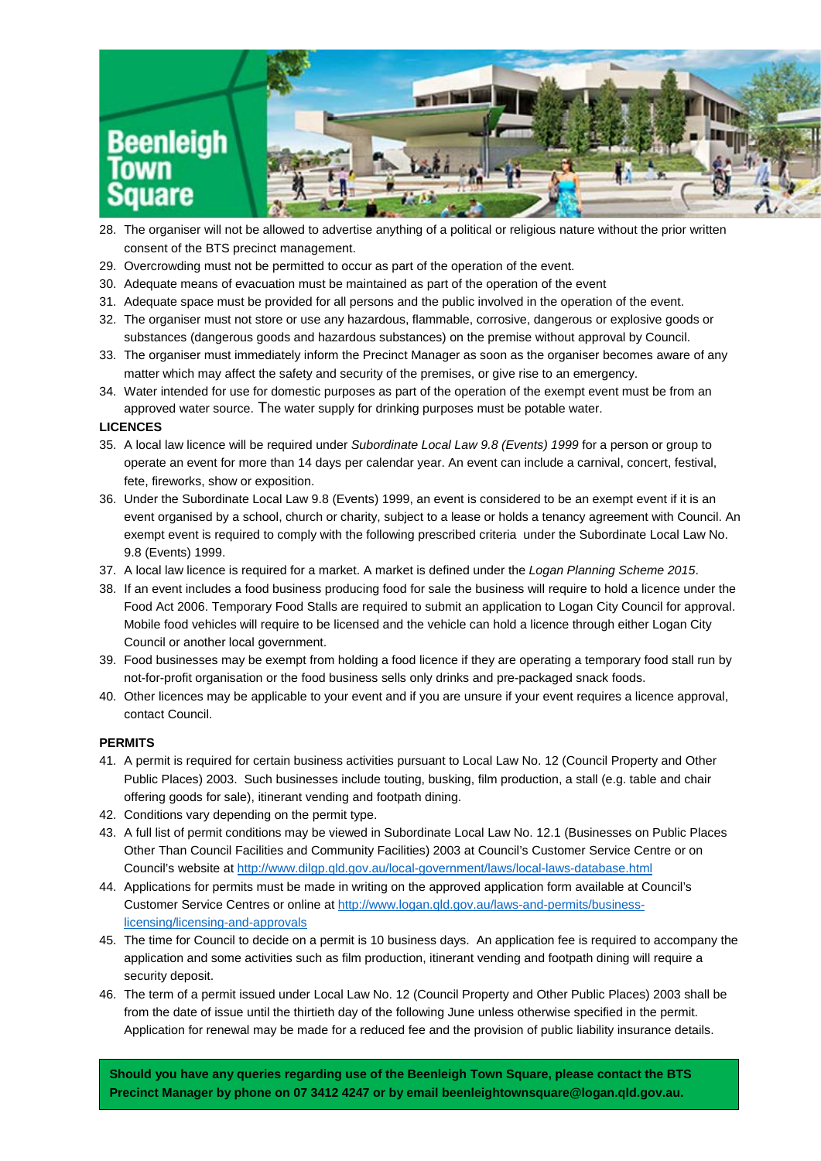

- 28. The organiser will not be allowed to advertise anything of a political or religious nature without the prior written consent of the BTS precinct management.
- 29. Overcrowding must not be permitted to occur as part of the operation of the event.
- 30. Adequate means of evacuation must be maintained as part of the operation of the event
- 31. Adequate space must be provided for all persons and the public involved in the operation of the event.
- 32. The organiser must not store or use any hazardous, flammable, corrosive, dangerous or explosive goods or substances (dangerous goods and hazardous substances) on the premise without approval by Council.
- 33. The organiser must immediately inform the Precinct Manager as soon as the organiser becomes aware of any matter which may affect the safety and security of the premises, or give rise to an emergency.
- 34. Water intended for use for domestic purposes as part of the operation of the exempt event must be from an approved water source. The water supply for drinking purposes must be potable water.

#### **LICENCES**

- 35. A local law licence will be required under *Subordinate Local Law 9.8 (Events) 1999* for a person or group to operate an event for more than 14 days per calendar year. An event can include a carnival, concert, festival, fete, fireworks, show or exposition.
- 36. Under the Subordinate Local Law 9.8 (Events) 1999, an event is considered to be an exempt event if it is an event organised by a school, church or charity, subject to a lease or holds a tenancy agreement with Council. An exempt event is required to comply with the following prescribed criteria under the Subordinate Local Law No. 9.8 (Events) 1999.
- 37. A local law licence is required for a market. A market is defined under the *Logan Planning Scheme 2015*.
- 38. If an event includes a food business producing food for sale the business will require to hold a licence under the Food Act 2006. Temporary Food Stalls are required to submit an application to Logan City Council for approval. Mobile food vehicles will require to be licensed and the vehicle can hold a licence through either Logan City Council or another local government.
- 39. Food businesses may be exempt from holding a food licence if they are operating a temporary food stall run by not-for-profit organisation or the food business sells only drinks and pre-packaged snack foods.
- 40. Other licences may be applicable to your event and if you are unsure if your event requires a licence approval, contact Council.

#### **PERMITS**

- 41. A permit is required for certain business activities pursuant to Local Law No. 12 (Council Property and Other Public Places) 2003. Such businesses include touting, busking, film production, a stall (e.g. table and chair offering goods for sale), itinerant vending and footpath dining.
- 42. Conditions vary depending on the permit type.
- 43. A full list of permit conditions may be viewed in Subordinate Local Law No. 12.1 (Businesses on Public Places Other Than Council Facilities and Community Facilities) 2003 at Council's Customer Service Centre or on Council's website at <http://www.dilgp.qld.gov.au/local-government/laws/local-laws-database.html>
- 44. Applications for permits must be made in writing on the approved application form available at Council's Customer Service Centres or online at [http://www.logan.qld.gov.au/laws-and-permits/business](http://www.logan.qld.gov.au/laws-and-permits/business-licensing/licensing-and-approvals)[licensing/licensing-and-approvals](http://www.logan.qld.gov.au/laws-and-permits/business-licensing/licensing-and-approvals)
- 45. The time for Council to decide on a permit is 10 business days. An application fee is required to accompany the application and some activities such as film production, itinerant vending and footpath dining will require a security deposit.
- 46. The term of a permit issued under Local Law No. 12 (Council Property and Other Public Places) 2003 shall be from the date of issue until the thirtieth day of the following June unless otherwise specified in the permit. Application for renewal may be made for a reduced fee and the provision of public liability insurance details.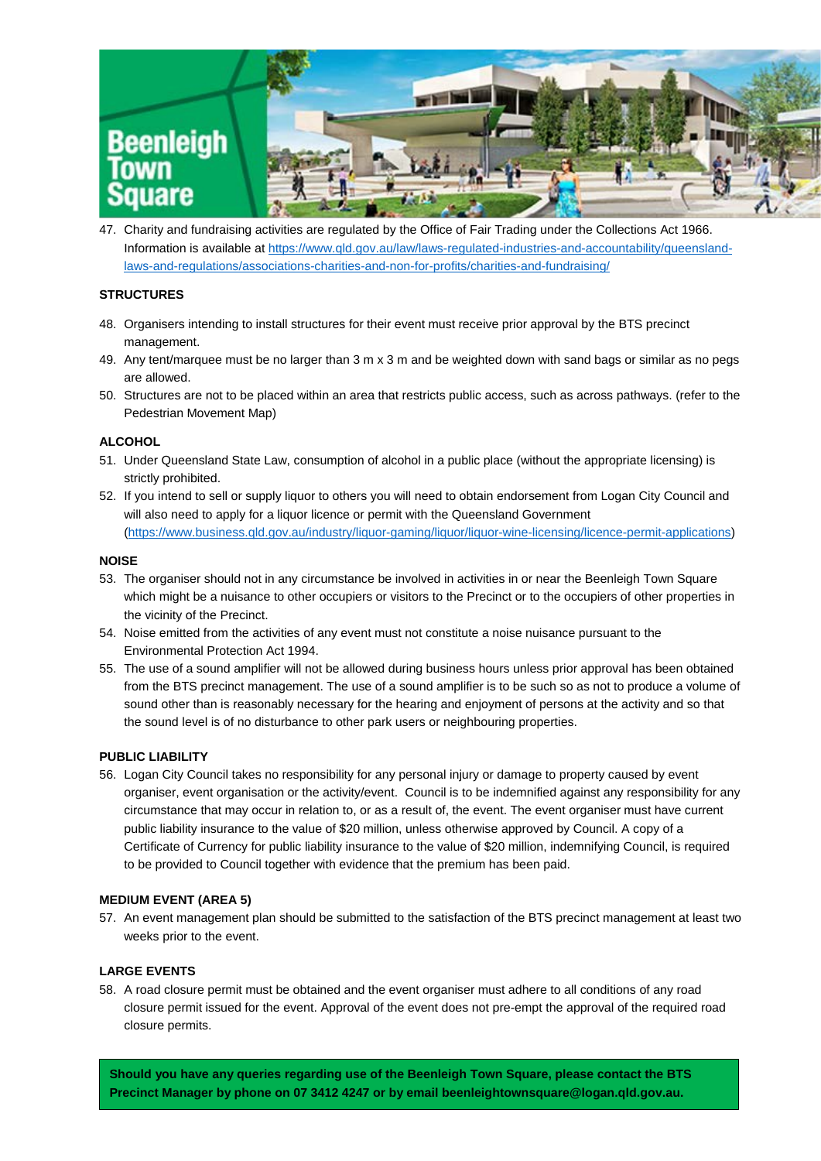

47. Charity and fundraising activities are regulated by the Office of Fair Trading under the Collections Act 1966. Information is available a[t https://www.qld.gov.au/law/laws-regulated-industries-and-accountability/queensland](https://www.qld.gov.au/law/laws-regulated-industries-and-accountability/queensland-laws-and-regulations/associations-charities-and-non-for-profits/charities-and-fundraising/)[laws-and-regulations/associations-charities-and-non-for-profits/charities-and-fundraising/](https://www.qld.gov.au/law/laws-regulated-industries-and-accountability/queensland-laws-and-regulations/associations-charities-and-non-for-profits/charities-and-fundraising/) 

# **STRUCTURES**

- 48. Organisers intending to install structures for their event must receive prior approval by the BTS precinct management.
- 49. Any tent/marquee must be no larger than 3 m x 3 m and be weighted down with sand bags or similar as no pegs are allowed.
- 50. Structures are not to be placed within an area that restricts public access, such as across pathways. (refer to the Pedestrian Movement Map)

#### **ALCOHOL**

- 51. Under Queensland State Law, consumption of alcohol in a public place (without the appropriate licensing) is strictly prohibited.
- 52. If you intend to sell or supply liquor to others you will need to obtain endorsement from Logan City Council and will also need to apply for a liquor licence or permit with the Queensland Government [\(https://www.business.qld.gov.au/industry/liquor-gaming/liquor/liquor-wine-licensing/licence-permit-applications\)](https://www.business.qld.gov.au/industry/liquor-gaming/liquor/liquor-wine-licensing/licence-permit-applications)

#### **NOISE**

- 53. The organiser should not in any circumstance be involved in activities in or near the Beenleigh Town Square which might be a nuisance to other occupiers or visitors to the Precinct or to the occupiers of other properties in the vicinity of the Precinct.
- 54. Noise emitted from the activities of any event must not constitute a noise nuisance pursuant to the Environmental Protection Act 1994.
- 55. The use of a sound amplifier will not be allowed during business hours unless prior approval has been obtained from the BTS precinct management. The use of a sound amplifier is to be such so as not to produce a volume of sound other than is reasonably necessary for the hearing and enjoyment of persons at the activity and so that the sound level is of no disturbance to other park users or neighbouring properties.

## **PUBLIC LIABILITY**

56. Logan City Council takes no responsibility for any personal injury or damage to property caused by event organiser, event organisation or the activity/event. Council is to be indemnified against any responsibility for any circumstance that may occur in relation to, or as a result of, the event. The event organiser must have current public liability insurance to the value of \$20 million, unless otherwise approved by Council. A copy of a Certificate of Currency for public liability insurance to the value of \$20 million, indemnifying Council, is required to be provided to Council together with evidence that the premium has been paid.

#### **MEDIUM EVENT (AREA 5)**

57. An event management plan should be submitted to the satisfaction of the BTS precinct management at least two weeks prior to the event.

## **LARGE EVENTS**

58. A road closure permit must be obtained and the event organiser must adhere to all conditions of any road closure permit issued for the event. Approval of the event does not pre-empt the approval of the required road closure permits.